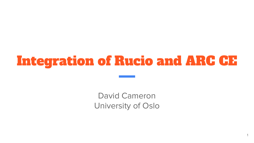# Integration of Rucio and ARC CE

David Cameron University of Oslo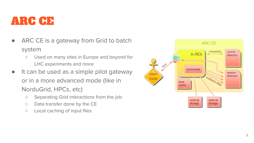#### ARC CE

- ARC CE is a gateway from Grid to batch system
	- Used on many sites in Europe and beyond for LHC experiments and more
- It can be used as a simple pilot gateway or in a more advanced mode (like in NorduGrid, HPCs, etc)
	- Separating Grid interactions from the job
	- Data transfer done by the CE
	- Local caching of input files

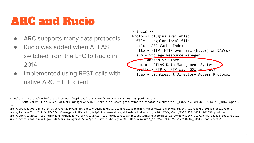### ARC and Rucio

- ARC supports many data protocols
- Rucio was added when ATLAS switched from the LFC to Rucio in 2014
- Implemented using REST calls with native ARC HTTP client



> arcls -L rucio://rucio-lb-prod.cern.ch/replicas/mc16\_13TeV/EVNT.12714678.\_001433.pool.root.1

srm://srmv2.ific.uv.es:8443/srm/managerv2?SFN=/lustre/ific.uv.es/grid/atlas/atlasdatadisk/rucio/mc16\_13TeV/e5/fd/EVNT.12714678.\_001433.pool. root.1

srm://grid002.ft.uam.es:8443/srm/managerv2?SFN=/pnfs/ft.uam.es/data/atlas/atlasdatadisk/rucio/mc16\_13TeV/e5/fd/EVNT.12714678.\_001433.pool.root.1 srm://lapp-se01.in2p3.fr:8446/srm/managerv2?SFN=/dpm/in2p3.fr/home/atlas/atlasdatadisk/rucio/mc16\_13TeV/e5/fd/EVNT.12714678.\_001433.pool.root.1 srm://sdrm.t1.grid.kiae.ru:8443/srm/managerv2?SFN=/t1.grid.kiae.ru/data/atlas/atlasdatadisk/rucio/mc16\_13TeV/e5/fd/EVNT.12714678.\_001433.pool.root.1 srm://dcsrm.usatlas.bnl.gov:8443/srm/managerv2?SFN=/pnfs/usatlas.bnl.gov/BNLT0D1/rucio/mc16\_13TeV/e5/fd/EVNT.12714678.\_001433.pool.root.1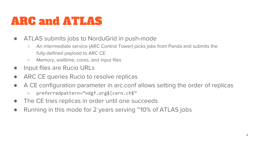### ARC and ATLAS

- ATLAS submits jobs to NorduGrid in push-mode
	- An intermediate service (ARC Control Tower) picks jobs from Panda and submits the fully-defined payload to ARC CE
	- Memory, walltime, cores, and input files
- Input files are Rucio URLs
- ARC CE queries Rucio to resolve replicas
- A CE configuration parameter in arc.conf allows setting the order of replicas
	- preferredpattern="ndgf.org\$|cern.ch\$"
- The CE tries replicas in order until one succeeds
- Running in this mode for 2 years serving ~10% of ATLAS jobs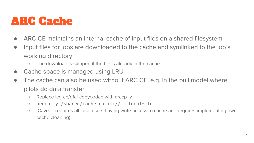#### ARC Cache

- ARC CE maintains an internal cache of input files on a shared filesystem
- Input files for jobs are downloaded to the cache and symlinked to the job's working directory
	- The download is skipped if the file is already in the cache
- Cache space is managed using LRU
- The cache can also be used without ARC CE, e.g. in the pull model where pilots do data transfer
	- Replace lcg-cp/gfal-copy/xrdcp with arccp -y
	- arccp -y /shared/cache rucio://… localfile
	- (Caveat: requires all local users having write access to cache and requires implementing own cache cleaning)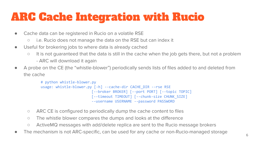## ARC Cache Integration with Rucio

- Cache data can be registered in Rucio on a volatile RSE
	- i.e. Rucio does not manage the data on the RSE but can index it
- Useful for brokering jobs to where data is already cached
	- It is not guaranteed that the data is still in the cache when the job gets there, but not a problem
		- ARC will download it again
- A probe on the CE (the "whistle-blower") periodically sends lists of files added to and deleted from the cache

```
# python whistle-blower.py
usage: whistle-blower.py [-h] --cache-dir CACHE_DIR --rse RSE
                         [--broker BROKER] [--port PORT] [--topic TOPIC]
                        [--timeout TIMEOUT] [--chunk-size CHUNK_SIZE]
                        --username USERNAME --password PASSWORD
```
- ARC CE is configured to periodically dump the cache content to files
- The whistle blower compares the dumps and looks at the difference
- ActiveMQ messages with add/delete replica are sent to the Rucio message brokers
- The mechanism is not ARC-specific, can be used for any cache or non-Rucio-managed storage